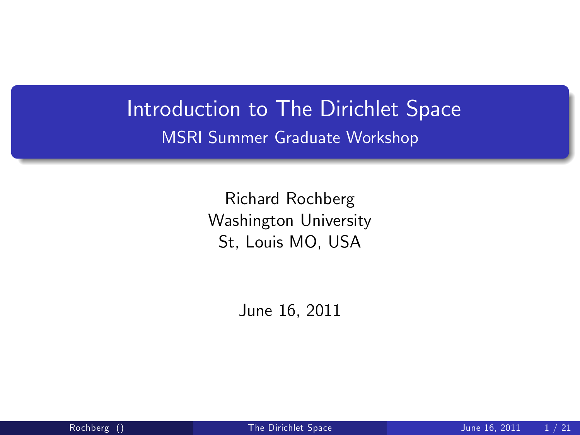## Introduction to The Dirichlet Space MSRI Summer Graduate Workshop

Richard Rochberg Washington University St, Louis MO, USA

<span id="page-0-0"></span>June 16, 2011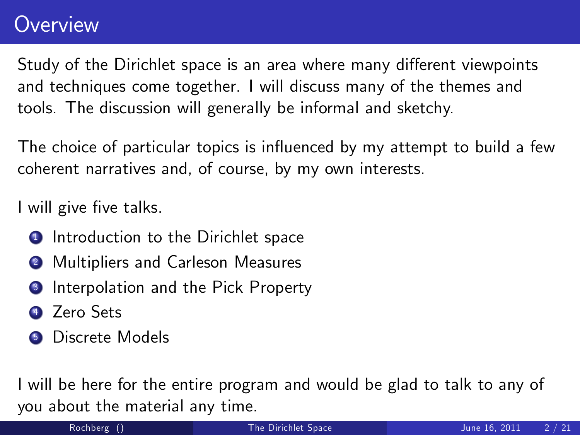### **Overview**

Study of the Dirichlet space is an area where many different viewpoints and techniques come together. I will discuss many of the themes and tools. The discussion will generally be informal and sketchy.

The choice of particular topics is influenced by my attempt to build a few coherent narratives and, of course, by my own interests.

I will give five talks.

- **1** Introduction to the Dirichlet space
- **2** Multipliers and Carleson Measures
- <sup>3</sup> Interpolation and the Pick Property
- 4 Zero Sets
- <sup>5</sup> Discrete Models

I will be here for the entire program and would be glad to talk to any of you about the material any time.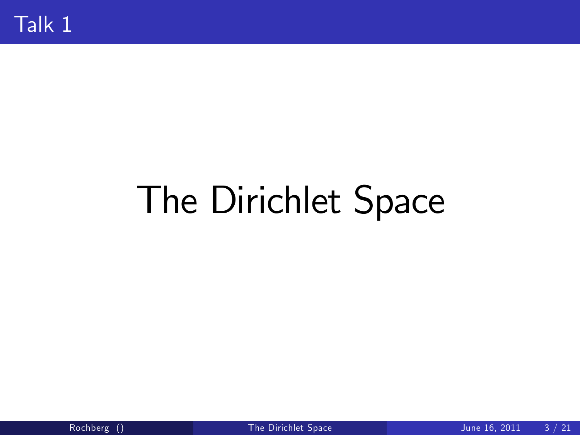# The Dirichlet Space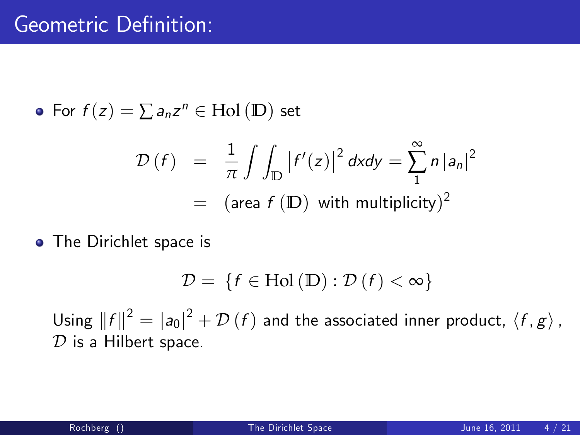• For 
$$
f(z) = \sum a_n z^n \in Hol(D)
$$
 set

$$
\mathcal{D}(f) = \frac{1}{\pi} \int \int_{\mathbb{D}} |f'(z)|^2 dxdy = \sum_{n=1}^{\infty} n |a_n|^2
$$
  
= (area  $f(\mathbb{D})$  with multiplicity)<sup>2</sup>

• The Dirichlet space is

$$
\mathcal{D} = \{f \in Hol(D) : \mathcal{D}(f) < \infty\}
$$

Using  $\|f\|^2 = |a_0|^2 + \mathcal{D}(f)$  and the associated inner product,  $\langle f, g \rangle$ ,  $D$  is a Hilbert space.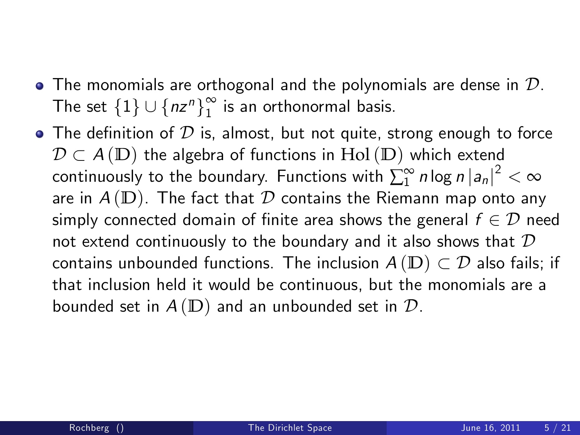- $\bullet$  The monomials are orthogonal and the polynomials are dense in  ${\cal D}$ . The set  $\{1\} \cup \{nz^n\}_1^\infty$  $\frac{1}{1}$  is an orthonormal basis.
- The definition of  $\mathcal D$  is, almost, but not quite, strong enough to force  $\mathcal{D} \subset A(\mathbb{D})$  the algebra of functions in Hol( $\mathbb{D}$ ) which extend continuously to the boundary. Functions with  $\sum_{1}^{\infty} n \log n |a_n|^2 < \infty$ are in  $A(D)$ . The fact that  $D$  contains the Riemann map onto any simply connected domain of finite area shows the general  $f \in \mathcal{D}$  need not extend continuously to the boundary and it also shows that  $D$ contains unbounded functions. The inclusion  $A(D) \subset D$  also fails; if that inclusion held it would be continuous, but the monomials are a bounded set in  $A(D)$  and an unbounded set in  $D$ .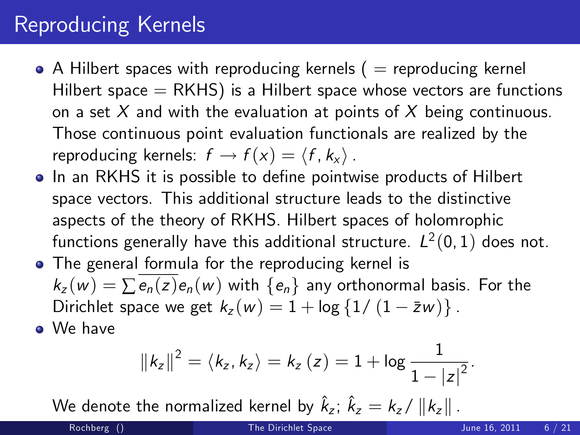# Reproducing Kernels

- $\bullet$  A Hilbert spaces with reproducing kernels (  $=$  reproducing kernel Hilbert space  $=$  RKHS) is a Hilbert space whose vectors are functions on a set  $X$  and with the evaluation at points of  $X$  being continuous. Those continuous point evaluation functionals are realized by the reproducing kernels:  $f \rightarrow f(x) = \langle f, k_x \rangle$ .
- In an RKHS it is possible to define pointwise products of Hilbert space vectors. This additional structure leads to the distinctive aspects of the theory of RKHS. Hilbert spaces of holomrophic functions generally have this additional structure.  $\mathit{L}^2(0,1)$  does not.
- The general formula for the reproducing kernel is  $k_z(w) = \sum e_n(z) e_n(w)$  with  $\{e_n\}$  any orthonormal basis. For the Dirichlet space we get  $k_z(w) = 1 + \log \{1/(1 - \bar{z}w)\}\.$
- We have

$$
||k_z||^2 = \langle k_z, k_z \rangle = k_z(z) = 1 + \log \frac{1}{1 - |z|^2}.
$$

We denote the normalized kernel by  $\hat{k}_z$ ;  $\hat{k}_z = k_z / ||k_z||$  .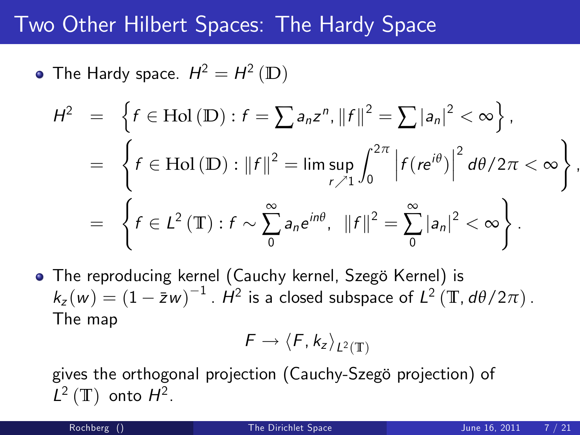#### Two Other Hilbert Spaces: The Hardy Space

The Hardy space.  $H^2=H^2\left(\mathbb{D}\right)^2$ 

$$
H^{2} = \left\{ f \in Hol(\mathbb{D}) : f = \sum a_{n} z^{n}, ||f||^{2} = \sum |a_{n}|^{2} < \infty \right\},
$$
  

$$
= \left\{ f \in Hol(\mathbb{D}) : ||f||^{2} = \limsup_{r \nearrow 1} \int_{0}^{2\pi} \left| f(re^{i\theta}) \right|^{2} d\theta / 2\pi < \infty \right\}
$$
  

$$
= \left\{ f \in L^{2}(\mathbb{T}) : f \sim \sum_{0}^{\infty} a_{n} e^{in\theta}, ||f||^{2} = \sum_{0}^{\infty} |a_{n}|^{2} < \infty \right\}.
$$

• The reproducing kernel (Cauchy kernel, Szegö Kernel) is  $k_z(w) = (1 - \bar{z}w)^{-1}$ .  $\dot{H}^2$  is a closed subspace of  $L^2(\mathbb{T}, d\theta/2\pi)$ . The map

$$
\digamma \to \langle \digamma, k_z \rangle_{L^2(\mathbb{T})}
$$

gives the orthogonal projection (Cauchy-Szegö projection) of  $L^2$  (T) onto  $H^2$ .

,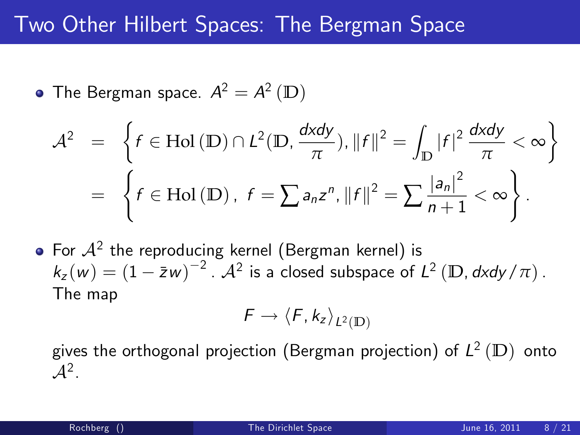## Two Other Hilbert Spaces: The Bergman Space

• The Bergman space. 
$$
A^2 = A^2
$$
 (D)

$$
\mathcal{A}^{2} = \left\{ f \in Hol(D) \cap L^{2}(D, \frac{dxdy}{\pi}), ||f||^{2} = \int_{D} |f|^{2} \frac{dxdy}{\pi} < \infty \right\}
$$

$$
= \left\{ f \in Hol(D), f = \sum a_{n} z^{n}, ||f||^{2} = \sum \frac{|a_{n}|^{2}}{n+1} < \infty \right\}.
$$

• For 
$$
\mathcal{A}^2
$$
 the reproducing Kernel (Bergman Kernel) is  $k_z(w) = (1 - \bar{z}w)^{-2}$ .  $\mathcal{A}^2$  is a closed subspace of  $L^2$  (D,  $dx\,dy / \pi$ ). The map

$$
\digamma \to \langle \digamma, k_z \rangle_{L^2(\mathbb{D})}
$$

gives the orthogonal projection (Bergman projection) of L 2 (**D**) onto  $\mathcal{A}^2$ .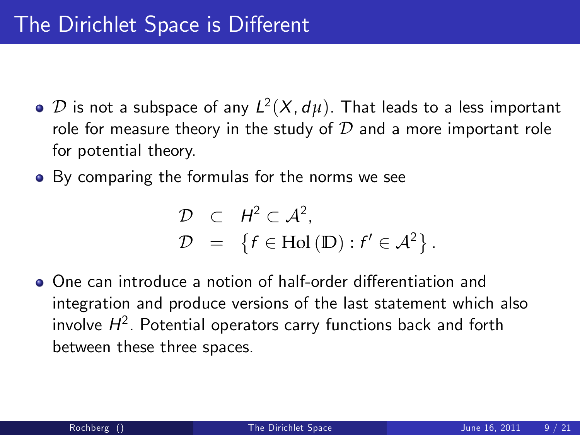- $\mathcal D$  is not a subspace of any  $L^2(X,d\mu)$ . That leads to a less important role for measure theory in the study of  $D$  and a more important role for potential theory.
- By comparing the formulas for the norms we see

$$
\mathcal{D} \quad \subset \quad H^2 \subset \mathcal{A}^2,
$$
  

$$
\mathcal{D} \quad = \quad \{ f \in Hol(\mathbb{D}) : f' \in \mathcal{A}^2 \}.
$$

• One can introduce a notion of half-order differentiation and integration and produce versions of the last statement which also involve  $\mathcal{H}^2$ . Potential operators carry functions back and forth between these three spaces.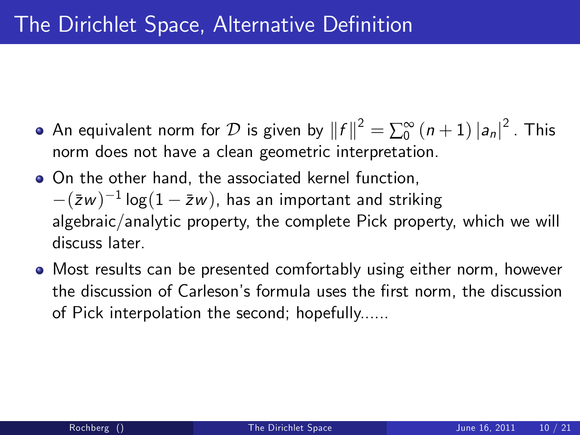- An equivalent norm for  $\mathcal D$  is given by  $||f||^2 = \sum_{0}^{\infty} (n+1) |a_n|^2$  . This norm does not have a clean geometric interpretation.
- On the other hand, the associated kernel function,  $-(\bar{z}w)^{-1}\log(1-\bar{z}w)$ , has an important and striking algebraic/analytic property, the complete Pick property, which we will discuss later.
- Most results can be presented comfortably using either norm, however the discussion of Carleson's formula uses the first norm, the discussion of Pick interpolation the second; hopefully......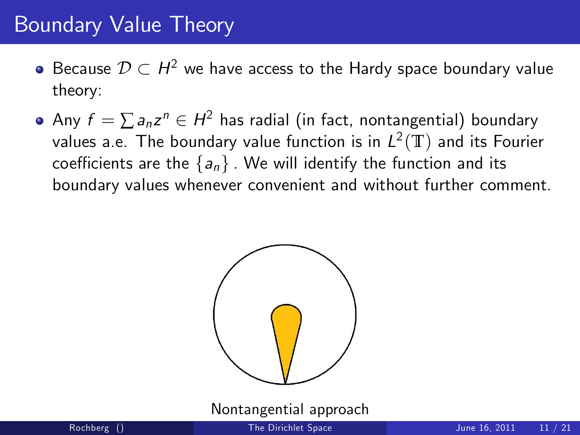## Boundary Value Theory

- Because  $\mathcal{D}\subset H^2$  we have access to the Hardy space boundary value theory:
- Any  $f = \sum a_n z^n \in H^2$  has radial (in fact, nontangential) boundary values a.e. The boundary value function is in  $L^2(\mathbb{T})$  and its Fourier coefficients are the  ${a_n}$ . We will identify the function and its boundary values whenever convenient and without further comment.



Nontangential approach

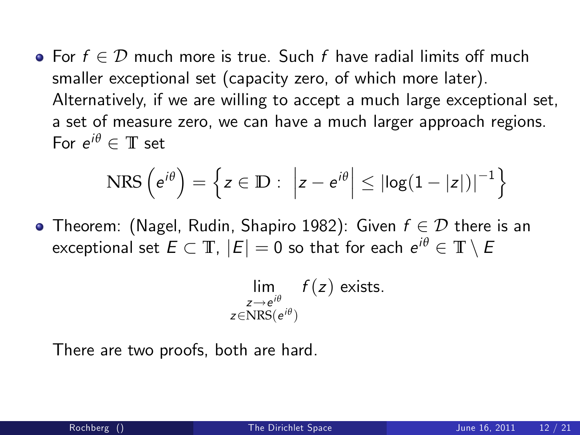$\bullet$  For  $f \in \mathcal{D}$  much more is true. Such f have radial limits off much smaller exceptional set (capacity zero, of which more later). Alternatively, if we are willing to accept a much large exceptional set, a set of measure zero, we can have a much larger approach regions. For  $e^{i\theta} \in \mathbb{T}$  set

$$
NRS\left(e^{i\theta}\right) = \left\{ z \in \mathbb{D} : \left| z - e^{i\theta} \right| \leq \left| \log(1 - |z|) \right|^{-1} \right\}
$$

• Theorem: (Nagel, Rudin, Shapiro 1982): Given  $f \in \mathcal{D}$  there is an  $\mathsf{exceptional}\; \mathsf{set}\; E \subset \mathbb{T},\; |E|=0\; \mathsf{so}\; \mathsf{that}\; \mathsf{for}\; \mathsf{each}\; \mathsf{e}^{i\theta} \in \mathbb{T}\setminus E$ 

$$
\lim_{\substack{z \to e^{i\theta} \\ z \in \text{NRS}(e^{i\theta})}} f(z) \text{ exists.}
$$

There are two proofs, both are hard.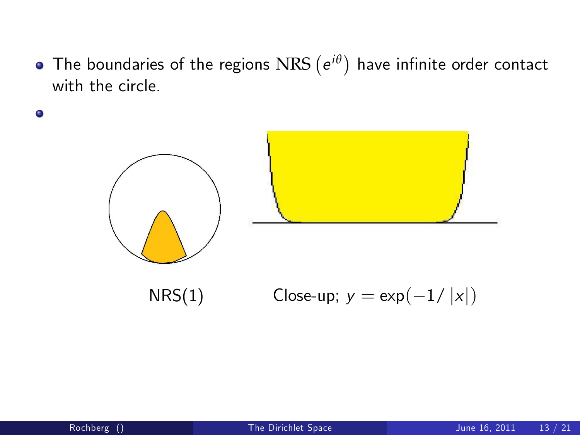The boundaries of the regions  $\operatorname{NRS}\left(e^{i\theta}\right)$  have infinite order contact with the circle.



 $\bullet$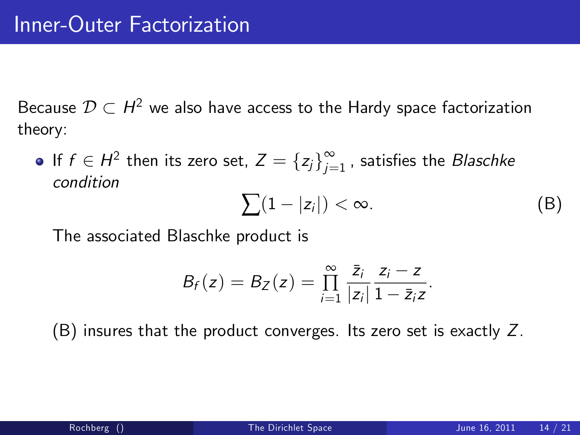Because  $\mathcal{D}\subset H^2$  we also have access to the Hardy space factorization theory:

If  $f \in H^2$  then its zero set,  $Z = \{z_j\}_{j=1}^{\infty}$  $\sum\limits_{j=1}^{\infty}$  , satisfies the *Blaschke* condition

<span id="page-13-0"></span>
$$
\sum (1-|z_i|) < \infty. \tag{B}
$$

The associated Blaschke product is

$$
B_f(z) = B_Z(z) = \prod_{i=1}^{\infty} \frac{\bar{z}_i}{|z_i|} \frac{z_i - z}{1 - \bar{z}_i z}.
$$

[\(B\)](#page-13-0) insures that the product converges. Its zero set is exactly Z.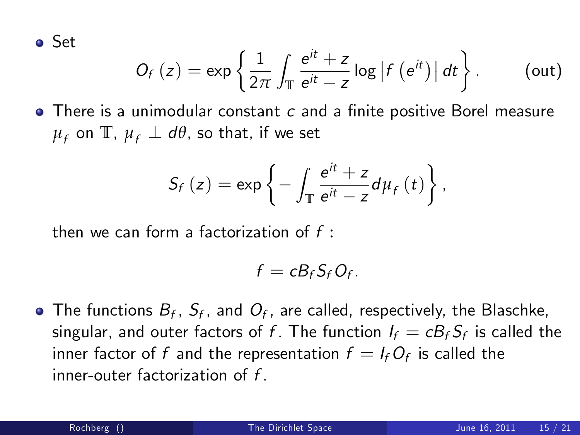Set

$$
O_f(z) = \exp\left\{\frac{1}{2\pi}\int_{\mathbb{T}}\frac{e^{it}+z}{e^{it}-z}\log|f(e^{it})|dt\right\}.
$$
 (out)

 $\bullet$  There is a unimodular constant  $c$  and a finite positive Borel measure  $\mu_f$  on  $\mathbb{T}$ ,  $\mu_f \perp d\theta$ , so that, if we set

$$
S_f(z) = \exp\left\{-\int_{\mathbb{T}} \frac{e^{it} + z}{e^{it} - z} d\mu_f(t)\right\},\,
$$

then we can form a factorization of f :

<span id="page-14-0"></span>
$$
f=cB_fS_fO_f.
$$

The functions  $B_f,~S_f,$  and  $O_f,$  are called, respectively, the Blaschke, singular, and outer factors of  $f$ . The function  $I_f=cB_fS_f$  is called the inner factor of  $f$  and the representation  $f=I_fO_f$  is called the inner-outer factorization of f .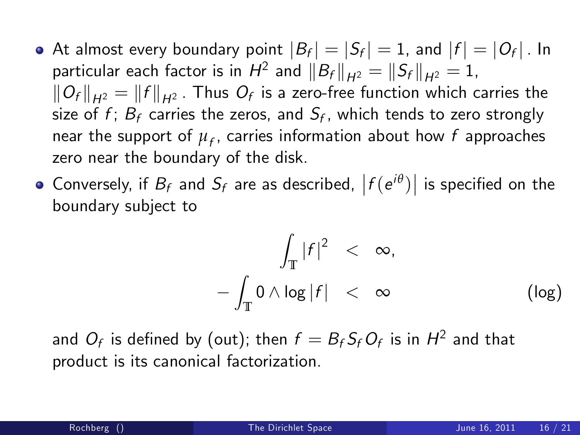- At almost every boundary point  $|B_f| = |S_f| = 1$ , and  $|f| = |O_f|$ . In particular each factor is in  $H^2$  and  $||B_f||_{H^2} = ||S_f||_{H^2} = 1$ ,  $\left\Vert O_f\right\Vert_{H^2}=\left\Vert f\right\Vert_{H^2}$  . Thus  $O_f$  is a zero-free function which carries the size of  $f$ ;  $B_f$  carries the zeros, and  $S_f$ , which tends to zero strongly near the support of  $\mu_f$ , carries information about how  $f$  approaches zero near the boundary of the disk.
- Conversely, if  $B_f$  and  $S_f$  are as described,  $|f(e^{i\theta})|$  is specified on the boundary subject to

$$
\int_{\mathbb{T}} |f|^2 < \infty, \\
-\int_{\mathbb{T}} 0 \wedge \log |f| < \infty \qquad (\log)
$$

and  $O_{\mathsf{f}}$  is defined by [\(out\)](#page-14-0); then  $\mathsf{f} = \mathsf{B}_{\mathsf{f}}\mathsf{S}_{\mathsf{f}} O_{\mathsf{f}}$  is in  $\mathsf{H}^2$  and that product is its canonical factorization.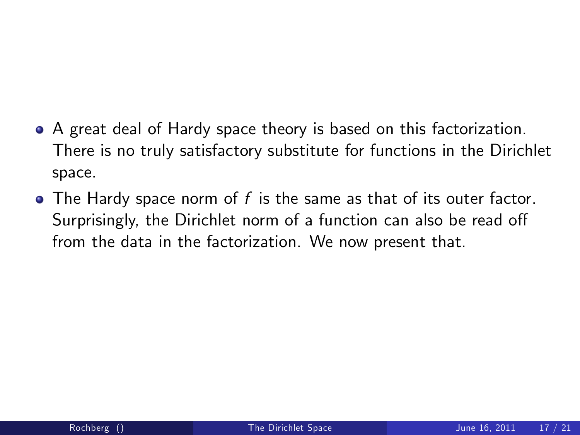- A great deal of Hardy space theory is based on this factorization. There is no truly satisfactory substitute for functions in the Dirichlet space.
- $\bullet$  The Hardy space norm of f is the same as that of its outer factor. Surprisingly, the Dirichlet norm of a function can also be read off from the data in the factorization. We now present that.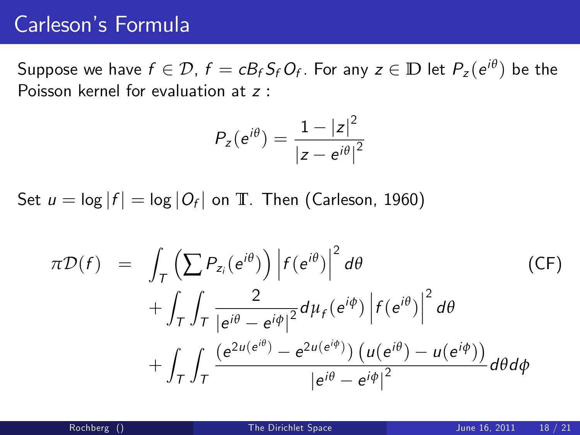#### Carleson's Formula

Suppose we have  $f \in \mathcal{D}$ ,  $f = cB_fS_fO_f$ . For any  $z \in \mathbb{D}$  let  $P_z(e^{i\theta})$  be the Poisson kernel for evaluation at z :

$$
P_{z}(e^{i\theta}) = \frac{1 - |z|^2}{|z - e^{i\theta}|^2}
$$

Set  $u = \log |f| = \log |O_f|$  on  $\mathbb{T}$ . Then (Carleson, 1960)

$$
\pi \mathcal{D}(f) = \int_{\mathcal{T}} \left( \sum P_{z_i}(e^{i\theta}) \right) \left| f(e^{i\theta}) \right|^2 d\theta \qquad \text{(CF)}+ \int_{\mathcal{T}} \int_{\mathcal{T}} \frac{2}{\left| e^{i\theta} - e^{i\phi} \right|^2} d\mu_f(e^{i\theta}) \left| f(e^{i\theta}) \right|^2 d\theta + \int_{\mathcal{T}} \int_{\mathcal{T}} \frac{\left( e^{2u(e^{i\theta})} - e^{2u(e^{i\phi})} \right) \left( u(e^{i\theta}) - u(e^{i\phi}) \right)}{\left| e^{i\theta} - e^{i\phi} \right|^2} d\theta d\phi
$$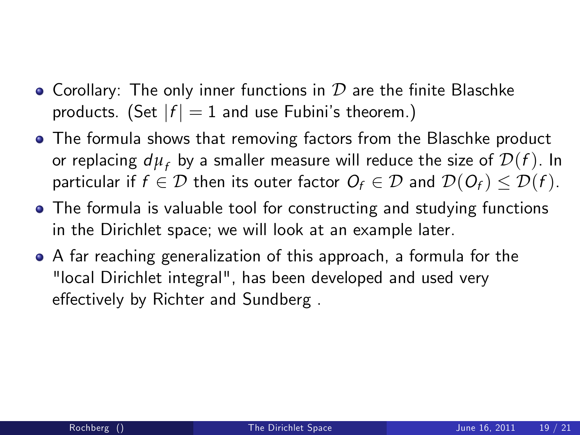- Corollary: The only inner functions in  $\mathcal D$  are the finite Blaschke products. (Set  $|f| = 1$  and use Fubini's theorem.)
- The formula shows that removing factors from the Blaschke product or replacing  $d\mu_f$  by a smaller measure will reduce the size of  $\mathcal{D}(f)$ . In particular if  $f \in \mathcal{D}$  then its outer factor  $O_f \in \mathcal{D}$  and  $\mathcal{D}(O_f) \leq \mathcal{D}(f)$ .
- The formula is valuable tool for constructing and studying functions in the Dirichlet space; we will look at an example later.
- A far reaching generalization of this approach, a formula for the "local Dirichlet integral", has been developed and used very effectively by Richter and Sundberg.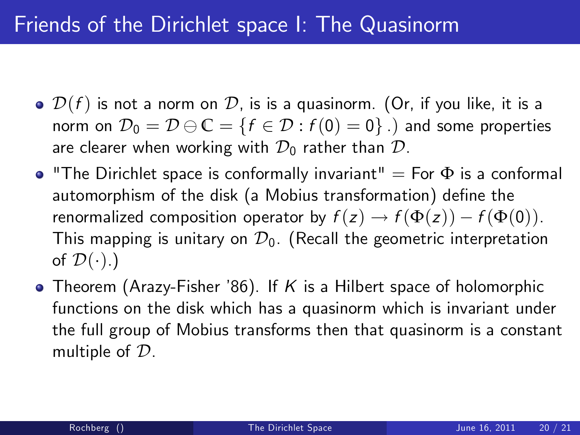- $\bullet$   $\mathcal{D}(f)$  is not a norm on  $\mathcal{D}$ , is is a quasinorm. (Or, if you like, it is a norm on  $\mathcal{D}_0 = \mathcal{D} \ominus \mathbb{C} = \{f \in \mathcal{D} : f(0) = 0\}$ .) and some properties are clearer when working with  $\mathcal{D}_0$  rather than  $\mathcal{D}_1$ .
- $\bullet$  "The Dirichlet space is conformally invariant" = For  $\Phi$  is a conformal automorphism of the disk (a Mobius transformation) define the renormalized composition operator by  $f(z) \rightarrow f(\Phi(z)) - f(\Phi(0)).$ This mapping is unitary on  $\mathcal{D}_0$ . (Recall the geometric interpretation of  $\mathcal{D}(\cdot)$ .)
- Theorem (Arazy-Fisher '86). If K is a Hilbert space of holomorphic functions on the disk which has a quasinorm which is invariant under the full group of Mobius transforms then that quasinorm is a constant multiple of D.